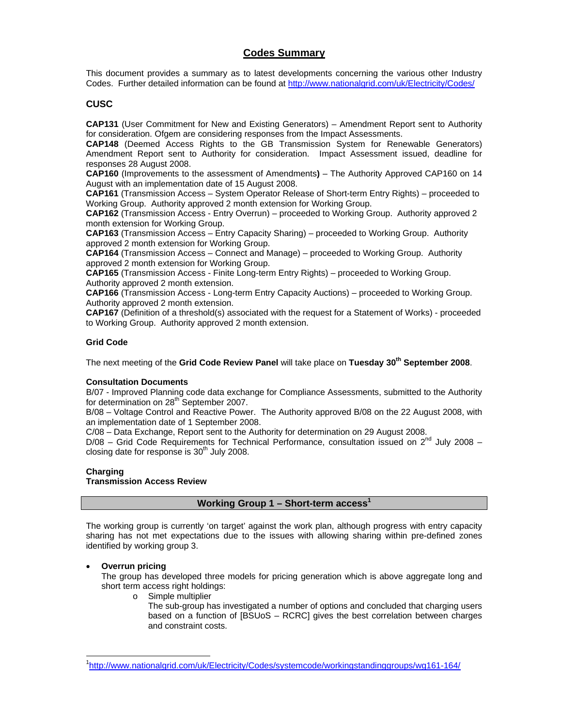### **Codes Summary**

This document provides a summary as to latest developments concerning the various other Industry Codes. Further detailed information can be found at http://www.nationalgrid.com/uk/Electricity/Codes/

### **CUSC**

**CAP131** (User Commitment for New and Existing Generators) – Amendment Report sent to Authority for consideration. Ofgem are considering responses from the Impact Assessments.

**CAP148** (Deemed Access Rights to the GB Transmission System for Renewable Generators) Amendment Report sent to Authority for consideration. Impact Assessment issued, deadline for responses 28 August 2008.

**CAP160** (Improvements to the assessment of Amendments**)** – The Authority Approved CAP160 on 14 August with an implementation date of 15 August 2008.

**CAP161** (Transmission Access – System Operator Release of Short-term Entry Rights) – proceeded to Working Group. Authority approved 2 month extension for Working Group.

**CAP162** (Transmission Access - Entry Overrun) – proceeded to Working Group. Authority approved 2 month extension for Working Group.

**CAP163** (Transmission Access – Entry Capacity Sharing) – proceeded to Working Group. Authority approved 2 month extension for Working Group.

**CAP164** (Transmission Access – Connect and Manage) – proceeded to Working Group. Authority approved 2 month extension for Working Group.

**CAP165** (Transmission Access - Finite Long-term Entry Rights) – proceeded to Working Group. Authority approved 2 month extension.

**CAP166** (Transmission Access - Long-term Entry Capacity Auctions) – proceeded to Working Group. Authority approved 2 month extension.

**CAP167** (Definition of a threshold(s) associated with the request for a Statement of Works) - proceeded to Working Group. Authority approved 2 month extension.

#### **Grid Code**

The next meeting of the **Grid Code Review Panel** will take place on **Tuesday 30th September 2008**.

#### **Consultation Documents**

B/07 - Improved Planning code data exchange for Compliance Assessments, submitted to the Authority for determination on 28<sup>th</sup> September 2007.

B/08 – Voltage Control and Reactive Power. The Authority approved B/08 on the 22 August 2008, with an implementation date of 1 September 2008.

C/08 – Data Exchange, Report sent to the Authority for determination on 29 August 2008.

 $D/08$  – Grid Code Requirements for Technical Performance, consultation issued on  $2^{nd}$  July 2008 – closing date for response is  $30<sup>th</sup>$  July 2008.

#### **Charging**

-

#### **Transmission Access Review**

#### **Working Group 1 – Short-term access1**

The working group is currently 'on target' against the work plan, although progress with entry capacity sharing has not met expectations due to the issues with allowing sharing within pre-defined zones identified by working group 3.

#### • **Overrun pricing**

The group has developed three models for pricing generation which is above aggregate long and short term access right holdings:

- o Simple multiplier
	- The sub-group has investigated a number of options and concluded that charging users based on a function of [BSUoS – RCRC] gives the best correlation between charges and constraint costs.

<sup>1</sup> http://www.nationalgrid.com/uk/Electricity/Codes/systemcode/workingstandinggroups/wg161-164/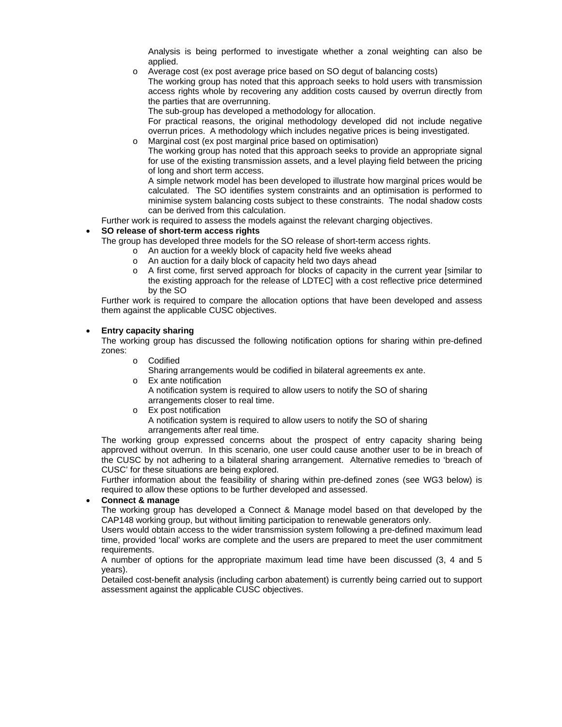Analysis is being performed to investigate whether a zonal weighting can also be applied.

o Average cost (ex post average price based on SO degut of balancing costs)

The working group has noted that this approach seeks to hold users with transmission access rights whole by recovering any addition costs caused by overrun directly from the parties that are overrunning.

The sub-group has developed a methodology for allocation.

For practical reasons, the original methodology developed did not include negative overrun prices. A methodology which includes negative prices is being investigated.

o Marginal cost (ex post marginal price based on optimisation) The working group has noted that this approach seeks to provide an appropriate signal for use of the existing transmission assets, and a level playing field between the pricing

of long and short term access. A simple network model has been developed to illustrate how marginal prices would be calculated. The SO identifies system constraints and an optimisation is performed to minimise system balancing costs subject to these constraints. The nodal shadow costs can be derived from this calculation.

Further work is required to assess the models against the relevant charging objectives.

#### • **SO release of short-term access rights**

The group has developed three models for the SO release of short-term access rights.

- o An auction for a weekly block of capacity held five weeks ahead
- o An auction for a daily block of capacity held two days ahead
- o A first come, first served approach for blocks of capacity in the current year [similar to the existing approach for the release of LDTEC] with a cost reflective price determined by the SO

Further work is required to compare the allocation options that have been developed and assess them against the applicable CUSC objectives.

#### • **Entry capacity sharing**

The working group has discussed the following notification options for sharing within pre-defined zones:

o Codified

Sharing arrangements would be codified in bilateral agreements ex ante.

o Ex ante notification

A notification system is required to allow users to notify the SO of sharing arrangements closer to real time.

- o Ex post notification
	- A notification system is required to allow users to notify the SO of sharing arrangements after real time.

The working group expressed concerns about the prospect of entry capacity sharing being approved without overrun. In this scenario, one user could cause another user to be in breach of the CUSC by not adhering to a bilateral sharing arrangement. Alternative remedies to 'breach of CUSC' for these situations are being explored.

Further information about the feasibility of sharing within pre-defined zones (see WG3 below) is required to allow these options to be further developed and assessed.

#### • **Connect & manage**

The working group has developed a Connect & Manage model based on that developed by the CAP148 working group, but without limiting participation to renewable generators only.

Users would obtain access to the wider transmission system following a pre-defined maximum lead time, provided 'local' works are complete and the users are prepared to meet the user commitment requirements.

A number of options for the appropriate maximum lead time have been discussed (3, 4 and 5 years).

Detailed cost-benefit analysis (including carbon abatement) is currently being carried out to support assessment against the applicable CUSC objectives.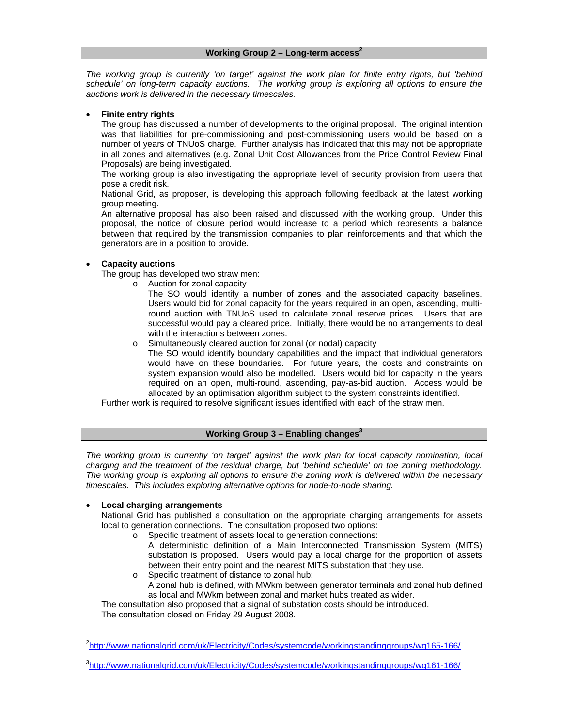*The working group is currently 'on target' against the work plan for finite entry rights, but 'behind schedule' on long-term capacity auctions. The working group is exploring all options to ensure the auctions work is delivered in the necessary timescales.* 

#### • **Finite entry rights**

The group has discussed a number of developments to the original proposal. The original intention was that liabilities for pre-commissioning and post-commissioning users would be based on a number of years of TNUoS charge. Further analysis has indicated that this may not be appropriate in all zones and alternatives (e.g. Zonal Unit Cost Allowances from the Price Control Review Final Proposals) are being investigated.

The working group is also investigating the appropriate level of security provision from users that pose a credit risk.

National Grid, as proposer, is developing this approach following feedback at the latest working group meeting.

An alternative proposal has also been raised and discussed with the working group. Under this proposal, the notice of closure period would increase to a period which represents a balance between that required by the transmission companies to plan reinforcements and that which the generators are in a position to provide.

#### • **Capacity auctions**

The group has developed two straw men:

- o Auction for zonal capacity
	- The SO would identify a number of zones and the associated capacity baselines. Users would bid for zonal capacity for the years required in an open, ascending, multiround auction with TNUoS used to calculate zonal reserve prices. Users that are successful would pay a cleared price. Initially, there would be no arrangements to deal with the interactions between zones.
- o Simultaneously cleared auction for zonal (or nodal) capacity
	- The SO would identify boundary capabilities and the impact that individual generators would have on these boundaries. For future years, the costs and constraints on system expansion would also be modelled. Users would bid for capacity in the years required on an open, multi-round, ascending, pay-as-bid auction. Access would be allocated by an optimisation algorithm subject to the system constraints identified.

Further work is required to resolve significant issues identified with each of the straw men.

#### **Working Group 3 – Enabling changes<sup>3</sup>**

*The working group is currently 'on target' against the work plan for local capacity nomination, local charging and the treatment of the residual charge, but 'behind schedule' on the zoning methodology. The working group is exploring all options to ensure the zoning work is delivered within the necessary timescales. This includes exploring alternative options for node-to-node sharing.* 

#### • **Local charging arrangements**

National Grid has published a consultation on the appropriate charging arrangements for assets local to generation connections. The consultation proposed two options:

- o Specific treatment of assets local to generation connections:
	- A deterministic definition of a Main Interconnected Transmission System (MITS) substation is proposed. Users would pay a local charge for the proportion of assets between their entry point and the nearest MITS substation that they use.
- o Specific treatment of distance to zonal hub: A zonal hub is defined, with MWkm between generator terminals and zonal hub defined as local and MWkm between zonal and market hubs treated as wider.

The consultation also proposed that a signal of substation costs should be introduced. The consultation closed on Friday 29 August 2008.

<sup>-</sup><sup>2</sup>http://www.nationalgrid.com/uk/Electricity/Codes/systemcode/workingstandinggroups/wg165-166/

<sup>&</sup>lt;sup>3</sup>http://www.nationalgrid.com/uk/Electricity/Codes/systemcode/workingstandinggroups/wg161-166/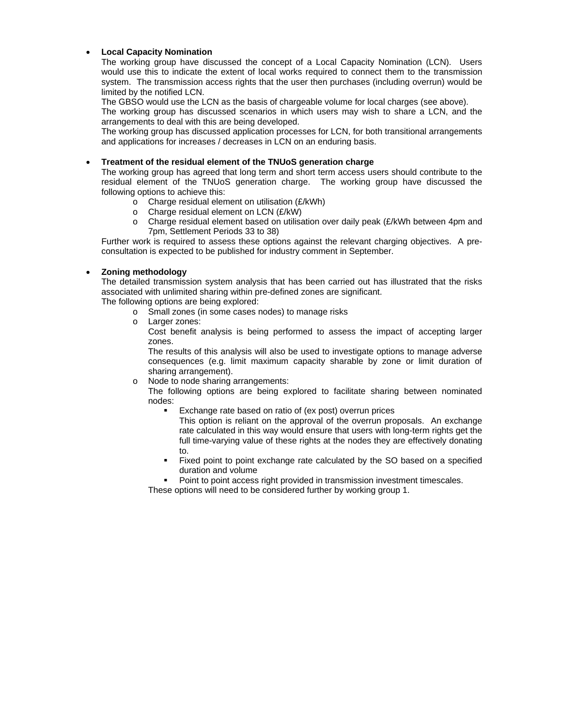### • **Local Capacity Nomination**

The working group have discussed the concept of a Local Capacity Nomination (LCN). Users would use this to indicate the extent of local works required to connect them to the transmission system. The transmission access rights that the user then purchases (including overrun) would be limited by the notified LCN.

The GBSO would use the LCN as the basis of chargeable volume for local charges (see above).

The working group has discussed scenarios in which users may wish to share a LCN, and the arrangements to deal with this are being developed.

The working group has discussed application processes for LCN, for both transitional arrangements and applications for increases / decreases in LCN on an enduring basis.

#### • **Treatment of the residual element of the TNUoS generation charge**

The working group has agreed that long term and short term access users should contribute to the residual element of the TNUoS generation charge. The working group have discussed the following options to achieve this:

- $\circ$  Charge residual element on utilisation (£/kWh)
- o Charge residual element on LCN (£/kW)
- o Charge residual element based on utilisation over daily peak (£/kWh between 4pm and 7pm, Settlement Periods 33 to 38)

Further work is required to assess these options against the relevant charging objectives. A preconsultation is expected to be published for industry comment in September.

#### • **Zoning methodology**

The detailed transmission system analysis that has been carried out has illustrated that the risks associated with unlimited sharing within pre-defined zones are significant.

The following options are being explored:

- o Small zones (in some cases nodes) to manage risks
- o Larger zones:

Cost benefit analysis is being performed to assess the impact of accepting larger zones.

The results of this analysis will also be used to investigate options to manage adverse consequences (e.g. limit maximum capacity sharable by zone or limit duration of sharing arrangement).

- o Node to node sharing arrangements:
	- The following options are being explored to facilitate sharing between nominated nodes:
		- Exchange rate based on ratio of (ex post) overrun prices
			- This option is reliant on the approval of the overrun proposals. An exchange rate calculated in this way would ensure that users with long-term rights get the full time-varying value of these rights at the nodes they are effectively donating to.
		- Fixed point to point exchange rate calculated by the SO based on a specified duration and volume
		- Point to point access right provided in transmission investment timescales.

These options will need to be considered further by working group 1.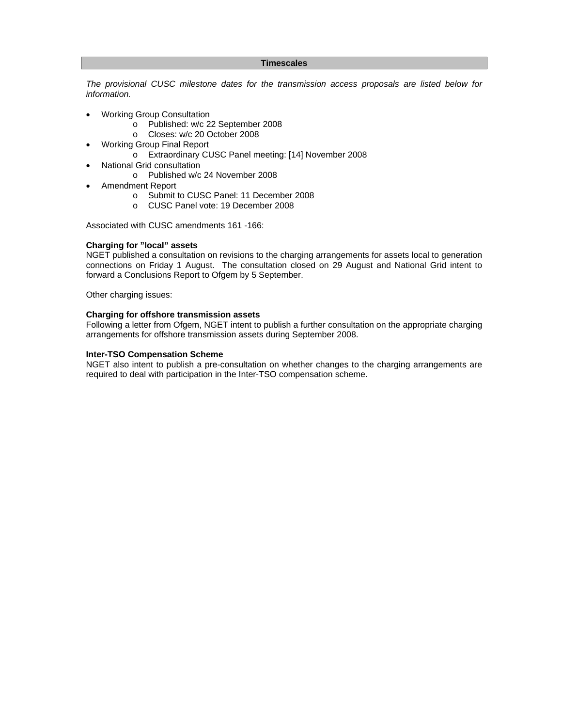#### **Timescales**

*The provisional CUSC milestone dates for the transmission access proposals are listed below for information.* 

- Working Group Consultation
	- o Published: w/c 22 September 2008
	- o Closes: w/c 20 October 2008
- Working Group Final Report
	- o Extraordinary CUSC Panel meeting: [14] November 2008
- National Grid consultation
	- o Published w/c 24 November 2008
- Amendment Report
	- o Submit to CUSC Panel: 11 December 2008
	- o CUSC Panel vote: 19 December 2008

Associated with CUSC amendments 161 -166:

#### **Charging for "local" assets**

NGET published a consultation on revisions to the charging arrangements for assets local to generation connections on Friday 1 August. The consultation closed on 29 August and National Grid intent to forward a Conclusions Report to Ofgem by 5 September.

Other charging issues:

#### **Charging for offshore transmission assets**

Following a letter from Ofgem, NGET intent to publish a further consultation on the appropriate charging arrangements for offshore transmission assets during September 2008.

#### **Inter-TSO Compensation Scheme**

NGET also intent to publish a pre-consultation on whether changes to the charging arrangements are required to deal with participation in the Inter-TSO compensation scheme.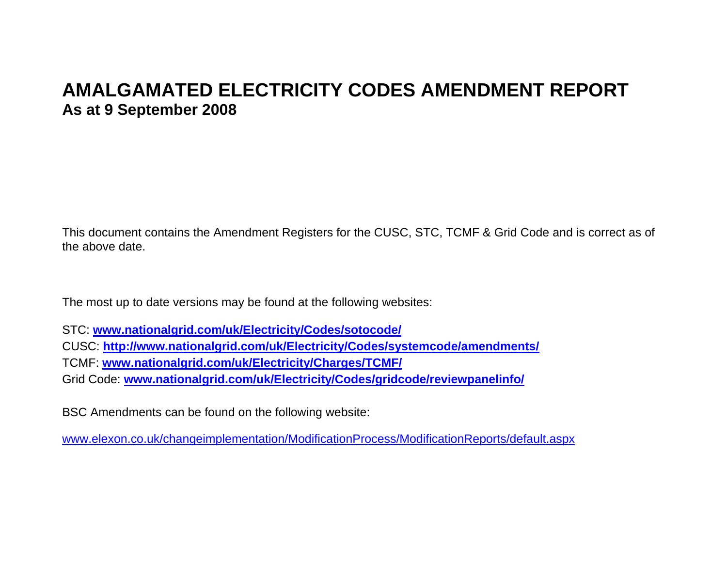# **AMALGAMATED ELECTRICITY CODES AMENDMENT REPORT As at 9 September 2008**

This document contains the Amendment Registers for the CUSC, STC, TCMF & Grid Code and is correct as of the above date.

The most up to date versions may be found at the following websites:

STC: **www.nationalgrid.com/uk/Electricity/Codes/sotocode/**

CUSC: **http://www.nationalgrid.com/uk/Electricity/Codes/systemcode/amendments/**

TCMF: **www.nationalgrid.com/uk/Electricity/Charges/TCMF/**

Grid Code: **www.nationalgrid.com/uk/Electricity/Codes/gridcode/reviewpanelinfo/**

BSC Amendments can be found on the following website:

www.elexon.co.uk/changeimplementation/ModificationProcess/ModificationReports/default.aspx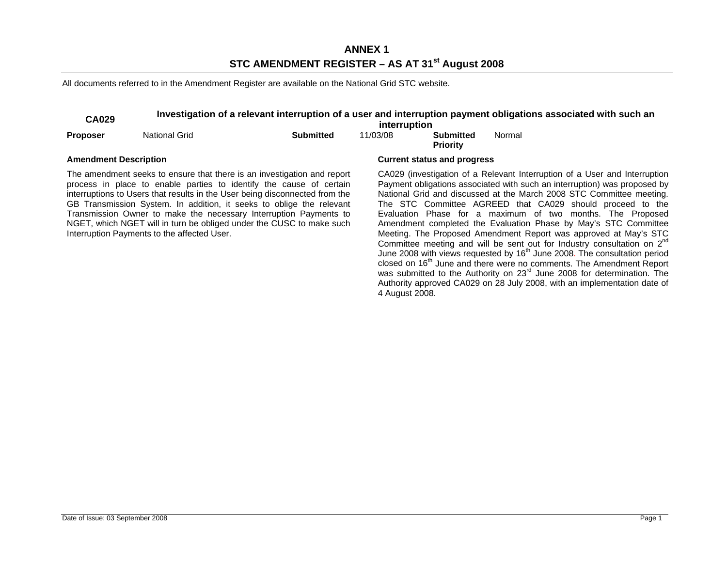### **ANNEX 1 STC AMENDMENT REGISTER – AS AT 31st August 2008**

All documents referred to in the Amendment Register are available on the National Grid STC website.

## **CA029 Investigation of a relevant interruption of a user and interruption payment obligations associated with such an interruption**

|                              |                                             |                                                                                                                                                                                                                                                                                                                                                                                                                                                    | interruption |                                     |        |                                                                                                                                                                                                                                                                                                                                                                                                                                                                                                                                                                                                                                                                                                                                                                                                                                                                                                                                   |
|------------------------------|---------------------------------------------|----------------------------------------------------------------------------------------------------------------------------------------------------------------------------------------------------------------------------------------------------------------------------------------------------------------------------------------------------------------------------------------------------------------------------------------------------|--------------|-------------------------------------|--------|-----------------------------------------------------------------------------------------------------------------------------------------------------------------------------------------------------------------------------------------------------------------------------------------------------------------------------------------------------------------------------------------------------------------------------------------------------------------------------------------------------------------------------------------------------------------------------------------------------------------------------------------------------------------------------------------------------------------------------------------------------------------------------------------------------------------------------------------------------------------------------------------------------------------------------------|
| <b>Proposer</b>              | <b>National Grid</b>                        | <b>Submitted</b>                                                                                                                                                                                                                                                                                                                                                                                                                                   | 11/03/08     | <b>Submitted</b><br><b>Priority</b> | Normal |                                                                                                                                                                                                                                                                                                                                                                                                                                                                                                                                                                                                                                                                                                                                                                                                                                                                                                                                   |
| <b>Amendment Description</b> |                                             |                                                                                                                                                                                                                                                                                                                                                                                                                                                    |              | <b>Current status and progress</b>  |        |                                                                                                                                                                                                                                                                                                                                                                                                                                                                                                                                                                                                                                                                                                                                                                                                                                                                                                                                   |
|                              | Interruption Payments to the affected User. | The amendment seeks to ensure that there is an investigation and report<br>process in place to enable parties to identify the cause of certain<br>interruptions to Users that results in the User being disconnected from the<br>GB Transmission System. In addition, it seeks to oblige the relevant<br>Transmission Owner to make the necessary Interruption Payments to<br>NGET, which NGET will in turn be obliged under the CUSC to make such |              |                                     |        | CA029 (investigation of a Relevant Interruption of a User and Interruption<br>Payment obligations associated with such an interruption) was proposed by<br>National Grid and discussed at the March 2008 STC Committee meeting.<br>The STC Committee AGREED that CA029 should proceed to the<br>Evaluation Phase for a maximum of two months. The Proposed<br>Amendment completed the Evaluation Phase by May's STC Committee<br>Meeting. The Proposed Amendment Report was approved at May's STC<br>Committee meeting and will be sent out for Industry consultation on $2^{nd}$<br>June 2008 with views requested by 16 <sup>th</sup> June 2008. The consultation period<br>closed on 16 <sup>th</sup> June and there were no comments. The Amendment Report<br>was submitted to the Authority on 23 <sup>rd</sup> June 2008 for determination. The<br>Authority approved CA029 on 28 July 2008, with an implementation date of |

4 August 2008.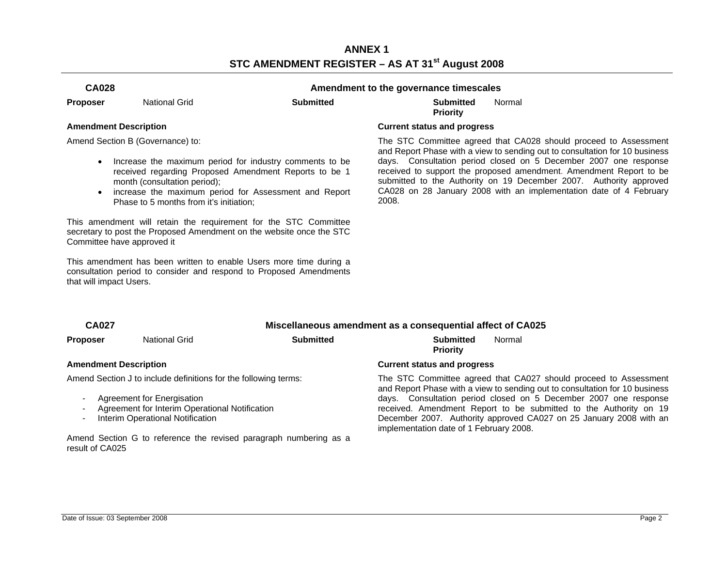### **ANNEX 1 STC AMENDMENT REGISTER – AS AT 31st August 2008**

| <b>CA028</b> | Amendment to the governance timescales |
|--------------|----------------------------------------|
|--------------|----------------------------------------|

**Proposer** National Grid **Submitted Submitted** 

**Priority**  Normal

Amend Section B (Governance) to:

- Increase the maximum period for industry comments to be received regarding Proposed Amendment Reports to be 1 month (consultation period);
- increase the maximum period for Assessment and Report Phase to 5 months from it's initiation;

This amendment will retain the requirement for the STC Committee secretary to post the Proposed Amendment on the website once the STC Committee have approved it

This amendment has been written to enable Users more time during a consultation period to consider and respond to Proposed Amendments that will impact Users.

#### **Amendment Description Current status and progress**

 The STC Committee agreed that CA028 should proceed to Assessment and Report Phase with a view to sending out to consultation for 10 business days. Consultation period closed on 5 December 2007 one response received to support the proposed amendment. Amendment Report to be submitted to the Authority on 19 December 2007. Authority approved CA028 on 28 January 2008 with an implementation date of 4 February 2008.

| <b>CA027</b> | Miscellaneous amendment as a consequential affect of CA025 |  |
|--------------|------------------------------------------------------------|--|
|              |                                                            |  |

Amend Section J to include definitions for the following terms:

- Agreement for Energisation
- Agreement for Interim Operational Notification
- Interim Operational Notification

Amend Section G to reference the revised paragraph numbering as a result of CA025

#### **Proposer** National Grid **Submitted Submitted**  Normal

**Priority** 

#### **Amendment Description Current status and progress**

 The STC Committee agreed that CA027 should proceed to Assessment and Report Phase with a view to sending out to consultation for 10 business days. Consultation period closed on 5 December 2007 one response received. Amendment Report to be submitted to the Authority on 19 December 2007. Authority approved CA027 on 25 January 2008 with an implementation date of 1 February 2008.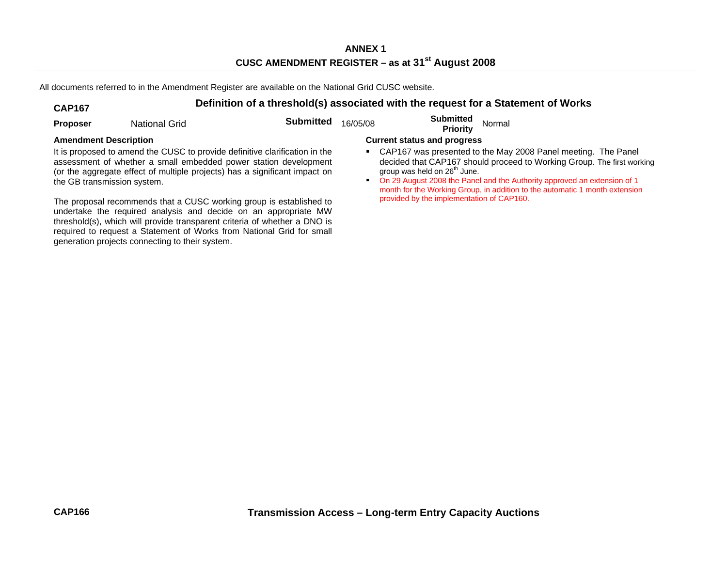All documents referred to in the Amendment Register are available on the National Grid CUSC website.

# **CAP167 Definition of a threshold(s) associated with the request for a Statement of Works**

| <b>Proposer</b>                                             | National Grid                                   | <b>Submitted</b>                                                                                                                                                                                                                                                                                                                                                                                                                                                                                                              | 16/05/08 | <b>Submitted</b><br><b>Priority</b>                                                                                         | Normal                                                                                                                                                                                                                                                                                             |
|-------------------------------------------------------------|-------------------------------------------------|-------------------------------------------------------------------------------------------------------------------------------------------------------------------------------------------------------------------------------------------------------------------------------------------------------------------------------------------------------------------------------------------------------------------------------------------------------------------------------------------------------------------------------|----------|-----------------------------------------------------------------------------------------------------------------------------|----------------------------------------------------------------------------------------------------------------------------------------------------------------------------------------------------------------------------------------------------------------------------------------------------|
| <b>Amendment Description</b><br>the GB transmission system. | generation projects connecting to their system. | It is proposed to amend the CUSC to provide definitive clarification in the<br>assessment of whether a small embedded power station development<br>(or the aggregate effect of multiple projects) has a significant impact on<br>The proposal recommends that a CUSC working group is established to<br>undertake the required analysis and decide on an appropriate MW<br>threshold(s), which will provide transparent criteria of whether a DNO is<br>required to request a Statement of Works from National Grid for small |          | <b>Current status and progress</b><br>group was held on 26 <sup>th</sup> June.<br>provided by the implementation of CAP160. | CAP167 was presented to the May 2008 Panel meeting. The Panel<br>decided that CAP167 should proceed to Working Group. The first working<br>On 29 August 2008 the Panel and the Authority approved an extension of 1<br>month for the Working Group, in addition to the automatic 1 month extension |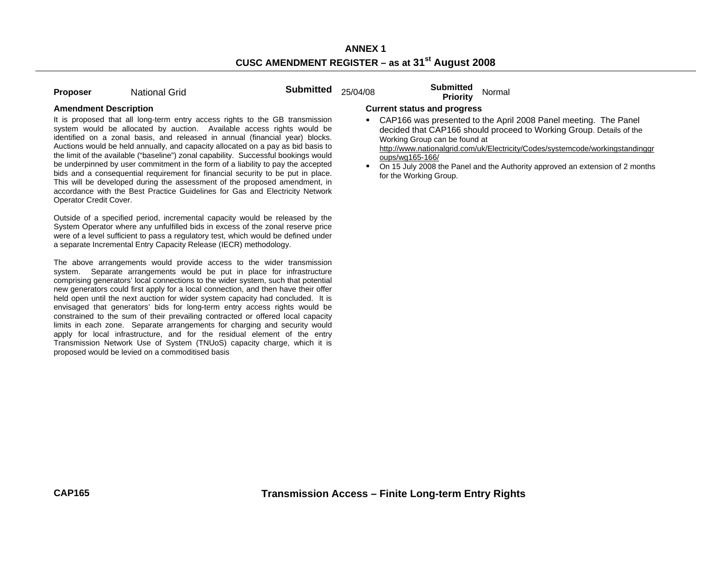| <b>Proposer</b> | <b>National Grid</b> | Submitted $25/04/08$ | <b>Submitted</b><br>Normal |
|-----------------|----------------------|----------------------|----------------------------|
|                 |                      |                      | <b>Priority</b>            |

It is proposed that all long-term entry access rights to the GB transmission system would be allocated by auction. Available access rights would be identified on a zonal basis, and released in annual (financial year) blocks. Auctions would be held annually, and capacity allocated on a pay as bid basis to the limit of the available ("baseline") zonal capability. Successful bookings would be underpinned by user commitment in the form of a liability to pay the accepted bids and a consequential requirement for financial security to be put in place. This will be developed during the assessment of the proposed amendment, in accordance with the Best Practice Guidelines for Gas and Electricity Network Operator Credit Cover.

Outside of a specified period, incremental capacity would be released by the System Operator where any unfulfilled bids in excess of the zonal reserve price were of a level sufficient to pass a regulatory test, which would be defined under a separate Incremental Entry Capacity Release (IECR) methodology.

The above arrangements would provide access to the wider transmission system. Separate arrangements would be put in place for infrastructure comprising generators' local connections to the wider system, such that potential new generators could first apply for a local connection, and then have their offer held open until the next auction for wider system capacity had concluded. It is envisaged that generators' bids for long-term entry access rights would be constrained to the sum of their prevailing contracted or offered local capacity limits in each zone. Separate arrangements for charging and security would apply for local infrastructure, and for the residual element of the entry Transmission Network Use of System (TNUoS) capacity charge, which it is proposed would be levied on a commoditised basis

#### **Amendment Description Current status and progress**

 CAP166 was presented to the April 2008 Panel meeting. The Panel decided that CAP166 should proceed to Working Group. Details of the Working Group can be found at

http://www.nationalgrid.com/uk/Electricity/Codes/systemcode/workingstandinggr oups/wg165-166/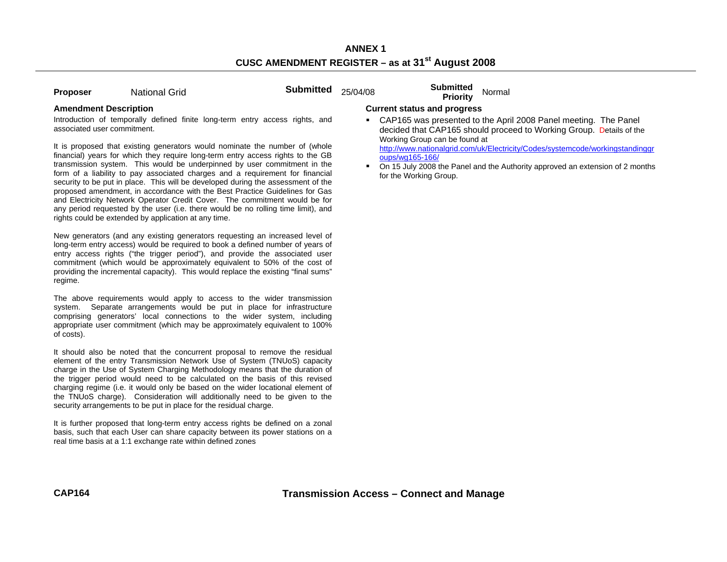| <b>Proposer</b> | <b>National Grid</b> | Submitted $25/04/08$ | <b>Submitted</b><br>Priority | Normal |
|-----------------|----------------------|----------------------|------------------------------|--------|
|                 |                      |                      |                              |        |

Introduction of temporally defined finite long-term entry access rights, and associated user commitment.

It is proposed that existing generators would nominate the number of (whole financial) years for which they require long-term entry access rights to the GB transmission system. This would be underpinned by user commitment in the form of a liability to pay associated charges and a requirement for financial security to be put in place. This will be developed during the assessment of the proposed amendment, in accordance with the Best Practice Guidelines for Gas and Electricity Network Operator Credit Cover. The commitment would be for any period requested by the user (i.e. there would be no rolling time limit), and rights could be extended by application at any time.

New generators (and any existing generators requesting an increased level of long-term entry access) would be required to book a defined number of years of entry access rights ("the trigger period"), and provide the associated user commitment (which would be approximately equivalent to 50% of the cost of providing the incremental capacity). This would replace the existing "final sums" regime.

The above requirements would apply to access to the wider transmission system. Separate arrangements would be put in place for infrastructure comprising generators' local connections to the wider system, including appropriate user commitment (which may be approximately equivalent to 100% of costs).

It should also be noted that the concurrent proposal to remove the residual element of the entry Transmission Network Use of System (TNUoS) capacity charge in the Use of System Charging Methodology means that the duration of the trigger period would need to be calculated on the basis of this revised charging regime (i.e. it would only be based on the wider locational element of the TNUoS charge). Consideration will additionally need to be given to the security arrangements to be put in place for the residual charge.

It is further proposed that long-term entry access rights be defined on a zonal basis, such that each User can share capacity between its power stations on a real time basis at a 1:1 exchange rate within defined zones

#### **Amendment Description Current status and progress**

 CAP165 was presented to the April 2008 Panel meeting. The Panel decided that CAP165 should proceed to Working Group. Details of the Working Group can be found at

http://www.nationalgrid.com/uk/Electricity/Codes/systemcode/workingstandinggr oups/wg165-166/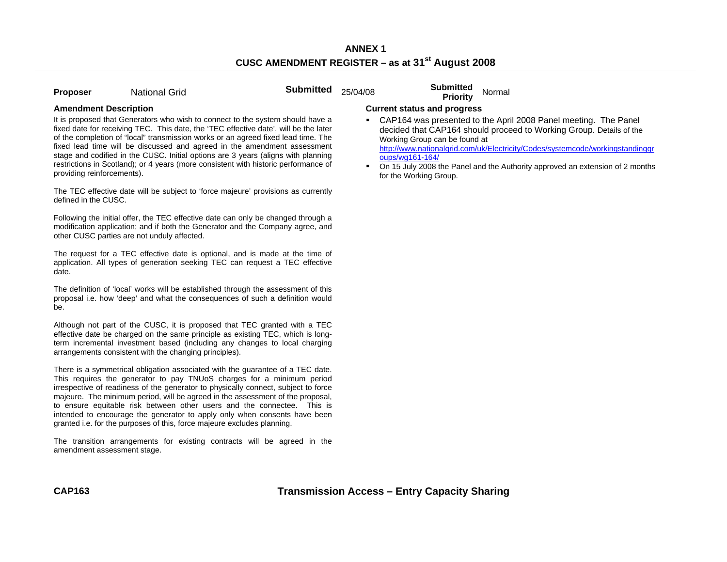| <b>Proposer</b> | <b>National Grid</b> | <b>Submitted</b><br>25/04/08 | <b>Submitted</b><br>Priority | Normal |
|-----------------|----------------------|------------------------------|------------------------------|--------|
|                 |                      |                              |                              |        |

It is proposed that Generators who wish to connect to the system should have a fixed date for receiving TEC. This date, the 'TEC effective date', will be the later of the completion of "local" transmission works or an agreed fixed lead time. The fixed lead time will be discussed and agreed in the amendment assessment stage and codified in the CUSC. Initial options are 3 years (aligns with planning restrictions in Scotland); or 4 years (more consistent with historic performance of providing reinforcements).

The TEC effective date will be subject to 'force majeure' provisions as currently defined in the CUSC.

Following the initial offer, the TEC effective date can only be changed through a modification application; and if both the Generator and the Company agree, and other CUSC parties are not unduly affected.

The request for a TEC effective date is optional, and is made at the time of application. All types of generation seeking TEC can request a TEC effective date.

The definition of 'local' works will be established through the assessment of this proposal i.e. how 'deep' and what the consequences of such a definition would be.

Although not part of the CUSC, it is proposed that TEC granted with a TEC effective date be charged on the same principle as existing TEC, which is longterm incremental investment based (including any changes to local charging arrangements consistent with the changing principles).

There is a symmetrical obligation associated with the guarantee of a TEC date. This requires the generator to pay TNUoS charges for a minimum period irrespective of readiness of the generator to physically connect, subject to force majeure. The minimum period, will be agreed in the assessment of the proposal, to ensure equitable risk between other users and the connectee. This is intended to encourage the generator to apply only when consents have been granted i.e. for the purposes of this, force majeure excludes planning.

The transition arrangements for existing contracts will be agreed in the amendment assessment stage.

#### **Amendment Description Current status and progress**

 CAP164 was presented to the April 2008 Panel meeting. The Panel decided that CAP164 should proceed to Working Group. Details of the Working Group can be found at

http://www.nationalgrid.com/uk/Electricity/Codes/systemcode/workingstandinggr oups/wg161-164/

 $\blacksquare$  On 15 July 2008 the Panel and the Authority approved an extension of 2 months for the Working Group.

**Transmission Access – Entry Capacity Sharing**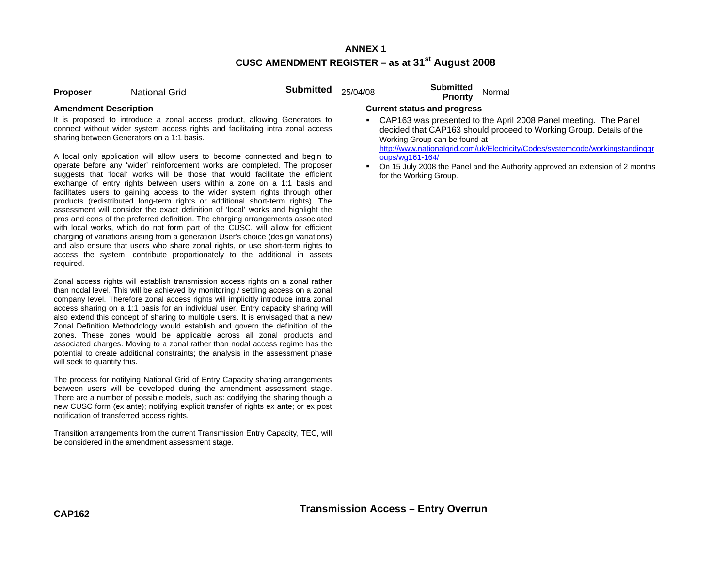| <b>Proposer</b> | <b>National Grid</b> |  |
|-----------------|----------------------|--|

**Proposer Submitted** 25/04/08 **Submitted** Normal **Priority** 

It is proposed to introduce a zonal access product, allowing Generators to connect without wider system access rights and facilitating intra zonal access sharing between Generators on a 1:1 basis.

A local only application will allow users to become connected and begin to operate before any 'wider' reinforcement works are completed. The proposer suggests that 'local' works will be those that would facilitate the efficient exchange of entry rights between users within a zone on a 1:1 basis and facilitates users to gaining access to the wider system rights through other products (redistributed long-term rights or additional short-term rights). The assessment will consider the exact definition of 'local' works and highlight the pros and cons of the preferred definition. The charging arrangements associated with local works, which do not form part of the CUSC, will allow for efficient charging of variations arising from a generation User's choice (design variations) and also ensure that users who share zonal rights, or use short-term rights to access the system, contribute proportionately to the additional in assets required.

Zonal access rights will establish transmission access rights on a zonal rather than nodal level. This will be achieved by monitoring / settling access on a zonal company level. Therefore zonal access rights will implicitly introduce intra zonal access sharing on a 1:1 basis for an individual user. Entry capacity sharing will also extend this concept of sharing to multiple users. It is envisaged that a new Zonal Definition Methodology would establish and govern the definition of the zones. These zones would be applicable across all zonal products and associated charges. Moving to a zonal rather than nodal access regime has the potential to create additional constraints; the analysis in the assessment phase will seek to quantify this.

The process for notifying National Grid of Entry Capacity sharing arrangements between users will be developed during the amendment assessment stage. There are a number of possible models, such as: codifying the sharing though a new CUSC form (ex ante); notifying explicit transfer of rights ex ante; or ex post notification of transferred access rights.

Transition arrangements from the current Transmission Entry Capacity, TEC, will be considered in the amendment assessment stage.

### **Amendment Description Current status and progress**

 CAP163 was presented to the April 2008 Panel meeting. The Panel decided that CAP163 should proceed to Working Group. Details of the Working Group can be found at

http://www.nationalgrid.com/uk/Electricity/Codes/systemcode/workingstandinggr oups/wg161-164/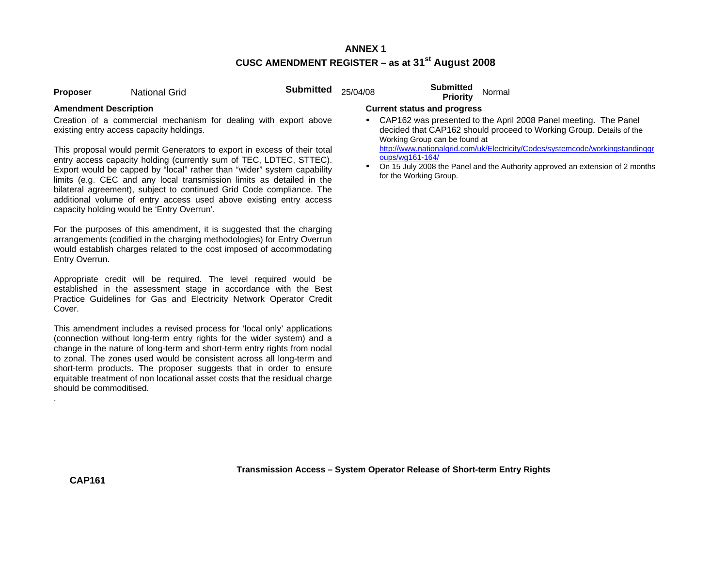| <b>National Grid</b><br>Proposer |
|----------------------------------|
|----------------------------------|

**Proposer Submitted** 25/04/08 **Submitted** Normal **Priority** Normal

Creation of a commercial mechanism for dealing with export above existing entry access capacity holdings.

This proposal would permit Generators to export in excess of their total entry access capacity holding (currently sum of TEC, LDTEC, STTEC). Export would be capped by "local" rather than "wider" system capability limits (e.g. CEC and any local transmission limits as detailed in the bilateral agreement), subject to continued Grid Code compliance. The additional volume of entry access used above existing entry access capacity holding would be 'Entry Overrun'.

For the purposes of this amendment, it is suggested that the charging arrangements (codified in the charging methodologies) for Entry Overrun would establish charges related to the cost imposed of accommodating Entry Overrun.

Appropriate credit will be required. The level required would be established in the assessment stage in accordance with the Best Practice Guidelines for Gas and Electricity Network Operator Credit Cover.

This amendment includes a revised process for 'local only' applications (connection without long-term entry rights for the wider system) and a change in the nature of long-term and short-term entry rights from nodal to zonal. The zones used would be consistent across all long-term and short-term products. The proposer suggests that in order to ensure equitable treatment of non locational asset costs that the residual charge should be commoditised.

### **Amendment Description Current status and progress**

 CAP162 was presented to the April 2008 Panel meeting. The Panel decided that CAP162 should proceed to Working Group. Details of the Working Group can be found at

http://www.nationalgrid.com/uk/Electricity/Codes/systemcode/workingstandinggr oups/wg161-164/

 $\blacksquare$  On 15 July 2008 the Panel and the Authority approved an extension of 2 months for the Working Group.

.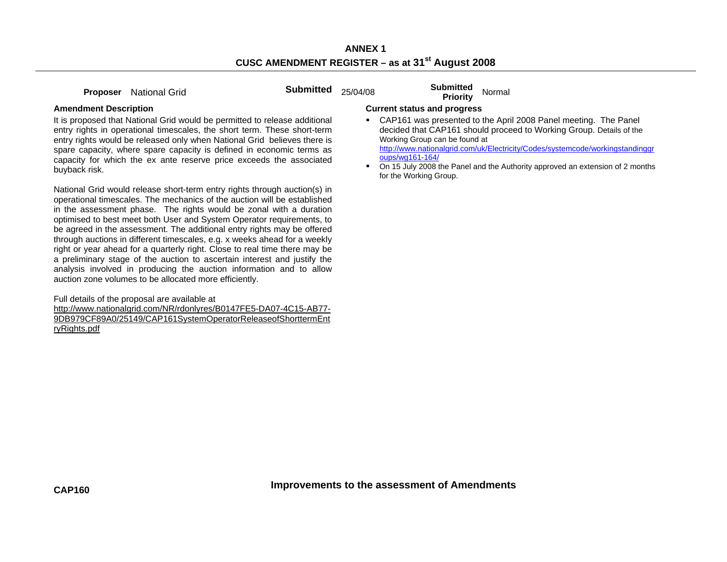**Proposer** National Grid **Submitted** 25/04/08 **Submitted Proposer** National Grid

It is proposed that National Grid would be permitted to release additional entry rights in operational timescales, the short term. These short-term entry rights would be released only when National Grid believes there is spare capacity, where spare capacity is defined in economic terms as capacity for which the ex ante reserve price exceeds the associated buyback risk.

National Grid would release short-term entry rights through auction(s) in operational timescales. The mechanics of the auction will be established in the assessment phase. The rights would be zonal with a duration optimised to best meet both User and System Operator requirements, to be agreed in the assessment. The additional entry rights may be offered through auctions in different timescales, e.g. x weeks ahead for a weekly right or year ahead for a quarterly right. Close to real time there may be a preliminary stage of the auction to ascertain interest and justify the analysis involved in producing the auction information and to allow auction zone volumes to be allocated more efficiently.

Full details of the proposal are available at http://www.nationalgrid.com/NR/rdonlyres/B0147FE5-DA07-4C15-AB77- 9DB979CF89A0/25149/CAP161SystemOperatorReleaseofShorttermEnt ryRights.pdf

#### **Amendment Description Current status and progress**

 CAP161 was presented to the April 2008 Panel meeting. The Panel decided that CAP161 should proceed to Working Group. Details of the Working Group can be found at http://www.nationalgrid.com/uk/Electricity/Codes/systemcode/workingstandinggr

oups/wg161-164/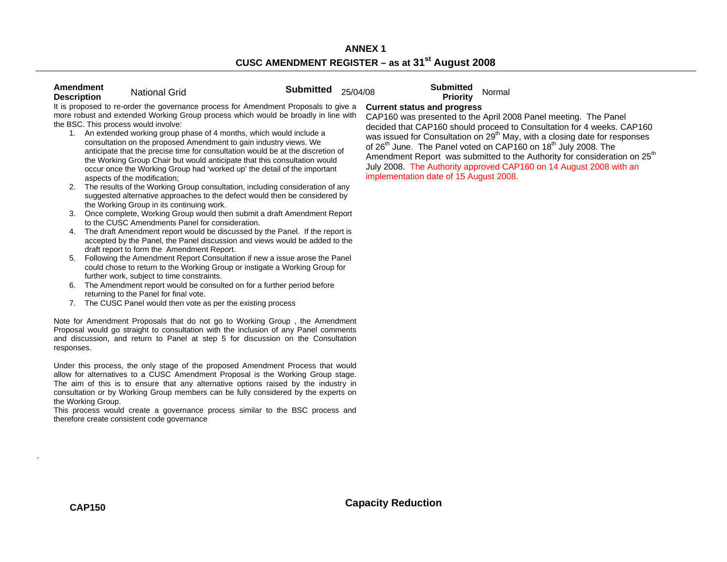| Amendment<br><b>Description</b>      | <b>National Grid</b>                                                                                                                                                                                                                                                                                                                                                                                                                                                                                                                                                                             | <b>Submitted</b> | 25/04/08 | <b>Submitted</b><br>Priority                                                                                                                                                                                                                                                                                                                    | Normal |
|--------------------------------------|--------------------------------------------------------------------------------------------------------------------------------------------------------------------------------------------------------------------------------------------------------------------------------------------------------------------------------------------------------------------------------------------------------------------------------------------------------------------------------------------------------------------------------------------------------------------------------------------------|------------------|----------|-------------------------------------------------------------------------------------------------------------------------------------------------------------------------------------------------------------------------------------------------------------------------------------------------------------------------------------------------|--------|
| the BSC. This process would involve: | It is proposed to re-order the governance process for Amendment Proposals to give a<br>more robust and extended Working Group process which would be broadly in line with<br>An extended working group phase of 4 months, which would include a<br>consultation on the proposed Amendment to gain industry views. We<br>anticipate that the precise time for consultation would be at the discretion of<br>the Working Group Chair but would anticipate that this consultation would<br>occur once the Working Group had 'worked up' the detail of the important<br>aspects of the modification; |                  |          | <b>Current status and progress</b><br>CAP160 was presented to the April 20<br>decided that CAP160 should proceed<br>was issued for Consultation on 29 <sup>th</sup> Ma<br>of 26 <sup>th</sup> June. The Panel voted on CAF<br>Amendment Report was submitted to<br>July 2008. The Authority approved CA<br>implementation date of 15 August 200 |        |

- 2. The results of the Working Group consultation, including consideration of any suggested alternative approaches to the defect would then be considered by the Working Group in its continuing work.
- 3. Once complete, Working Group would then submit a draft Amendment Report to the CUSC Amendments Panel for consideration.
- 4. The draft Amendment report would be discussed by the Panel. If the report is accepted by the Panel, the Panel discussion and views would be added to the draft report to form the Amendment Report.
- 5. Following the Amendment Report Consultation if new a issue arose the Panel could chose to return to the Working Group or instigate a Working Group for further work, subject to time constraints.
- 6. The Amendment report would be consulted on for a further period before returning to the Panel for final vote.
- 7. The CUSC Panel would then vote as per the existing process

Note for Amendment Proposals that do not go to Working Group , the Amendment Proposal would go straight to consultation with the inclusion of any Panel comments and discussion, and return to Panel at step 5 for discussion on the Consultation responses.

Under this process, the only stage of the proposed Amendment Process that would allow for alternatives to a CUSC Amendment Proposal is the Working Group stage. The aim of this is to ensure that any alternative options raised by the industry in consultation or by Working Group members can be fully considered by the experts on the Working Group.

This process would create a governance process similar to the BSC process and therefore create consistent code governance

to the April 2008 Panel meeting. The Panel hould proceed to Consultation for 4 weeks. CAP160 ation on 29<sup>th</sup> May, with a closing date for responses I voted on  $CAP160$  on  $18<sup>th</sup>$  July 2008. The as submitted to the Authority for consideration on 25<sup>th</sup> ty approved CAP160 on 14 August 2008 with an 15 August 2008.

.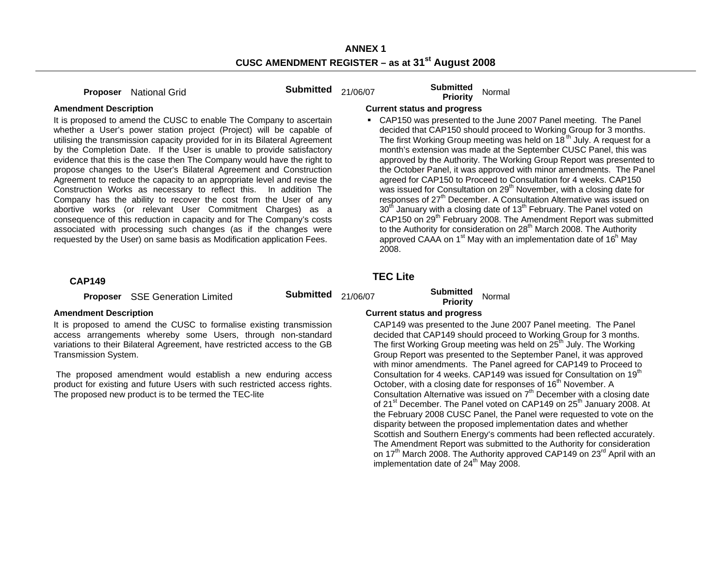**Proposer** National Grid **Submitted** 21/06/07 **Submitted Priority** Normal

 CAP150 was presented to the June 2007 Panel meeting. The Panel decided that CAP150 should proceed to Working Group for 3 months. The first Working Group meeting was held on  $18<sup>th</sup>$  July. A request for a month's extension was made at the September CUSC Panel, this was approved by the Authority. The Working Group Report was presented to the October Panel, it was approved with minor amendments. The Panel agreed for CAP150 to Proceed to Consultation for 4 weeks. CAP150 was issued for Consultation on  $29<sup>th</sup>$  November, with a closing date for responses of  $27<sup>th</sup>$  December. A Consultation Alternative was issued on  $30<sup>th</sup>$  January with a closing date of 13<sup>th</sup> February. The Panel voted on CAP150 on 29<sup>th</sup> February 2008. The Amendment Report was submitted to the Authority for consideration on  $28<sup>th</sup>$  March 2008. The Authority approved CAAA on  $1<sup>st</sup>$  May with an implementation date of  $16<sup>h</sup>$  May

#### **Amendment Description Current status and progress**

It is proposed to amend the CUSC to enable The Company to ascertain whether a User's power station project (Project) will be capable of utilising the transmission capacity provided for in its Bilateral Agreement by the Completion Date. If the User is unable to provide satisfactory evidence that this is the case then The Company would have the right to propose changes to the User's Bilateral Agreement and Construction Agreement to reduce the capacity to an appropriate level and revise the Construction Works as necessary to reflect this. In addition The Company has the ability to recover the cost from the User of any abortive works (or relevant User Commitment Charges) as a consequence of this reduction in capacity and for The Company's costs associated with processing such changes (as if the changes were requested by the User) on same basis as Modification application Fees.

## **CAP149 TEC Lite**

**Proposer** SSE Generation Limited **Submitted** 21/06/07 **Submitted Priority** Normal

It is proposed to amend the CUSC to formalise existing transmission access arrangements whereby some Users, through non-standard variations to their Bilateral Agreement, have restricted access to the GB Transmission System.

 The proposed amendment would establish a new enduring access product for existing and future Users with such restricted access rights. The proposed new product is to be termed the TEC-lite

### Amendment Description **Current status and progress Current status and progress**

2008.

 CAP149 was presented to the June 2007 Panel meeting. The Panel decided that CAP149 should proceed to Working Group for 3 months. The first Working Group meeting was held on  $25<sup>th</sup>$  July. The Working Group Report was presented to the September Panel, it was approved with minor amendments. The Panel agreed for CAP149 to Proceed to Consultation for 4 weeks. CAP149 was issued for Consultation on 19<sup>th</sup> October, with a closing date for responses of 16<sup>th</sup> November. A Consultation Alternative was issued on  $7<sup>th</sup>$  December with a closing date of 21<sup>st</sup> December. The Panel voted on CAP149 on 25<sup>th</sup> January 2008. At the February 2008 CUSC Panel, the Panel were requested to vote on the disparity between the proposed implementation dates and whether Scottish and Southern Energy's comments had been reflected accurately. The Amendment Report was submitted to the Authority for consideration on  $17<sup>th</sup>$  March 2008. The Authority approved CAP149 on  $23<sup>rd</sup>$  April with an implementation date of  $24<sup>th</sup>$  May 2008.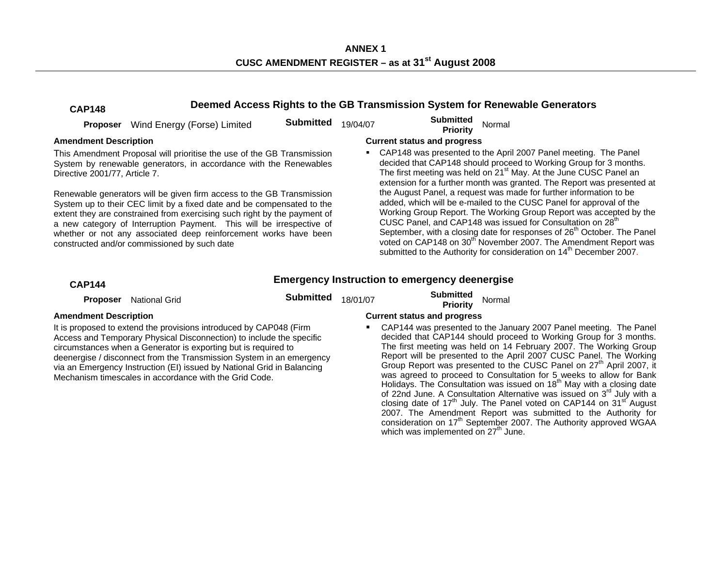**ANNEX 1 CUSC AMENDMENT REGISTER – as at 31st August 2008** 

### **CAP148 Deemed Access Rights to the GB Transmission System for Renewable Generators**

|                               | <b>Proposer</b> Wind Energy (Forse) Limited                                                                                                                                                                                                                                                                                                                                                                             | <b>Submitted</b> | 19/04/07 | <b>Submitted</b><br>Normal<br><b>Priority</b>                                                                                                                                                                                                                                                                                                                                                                                                                                                                                                      |  |
|-------------------------------|-------------------------------------------------------------------------------------------------------------------------------------------------------------------------------------------------------------------------------------------------------------------------------------------------------------------------------------------------------------------------------------------------------------------------|------------------|----------|----------------------------------------------------------------------------------------------------------------------------------------------------------------------------------------------------------------------------------------------------------------------------------------------------------------------------------------------------------------------------------------------------------------------------------------------------------------------------------------------------------------------------------------------------|--|
| <b>Amendment Description</b>  |                                                                                                                                                                                                                                                                                                                                                                                                                         |                  |          | <b>Current status and progress</b>                                                                                                                                                                                                                                                                                                                                                                                                                                                                                                                 |  |
| Directive 2001/77, Article 7. | This Amendment Proposal will prioritise the use of the GB Transmission<br>System by renewable generators, in accordance with the Renewables                                                                                                                                                                                                                                                                             |                  |          | CAP148 was presented to the April 2007 Panel meeting. The Panel<br>decided that CAP148 should proceed to Working Group for 3 months.<br>The first meeting was held on 21 <sup>st</sup> May. At the June CUSC Panel an<br>extension for a further month was granted. The Report was presented at                                                                                                                                                                                                                                                    |  |
|                               | Renewable generators will be given firm access to the GB Transmission<br>System up to their CEC limit by a fixed date and be compensated to the<br>extent they are constrained from exercising such right by the payment of<br>a new category of Interruption Payment. This will be irrespective of<br>whether or not any associated deep reinforcement works have been<br>constructed and/or commissioned by such date |                  |          | the August Panel, a request was made for further information to be<br>added, which will be e-mailed to the CUSC Panel for approval of the<br>Working Group Report. The Working Group Report was accepted by the<br>CUSC Panel, and CAP148 was issued for Consultation on 28 <sup>th</sup><br>September, with a closing date for responses of 26 <sup>th</sup> October. The Panel<br>voted on CAP148 on 30 <sup>th</sup> November 2007. The Amendment Report was<br>submitted to the Authority for consideration on 14 <sup>th</sup> December 2007. |  |
| <b>CAP144</b>                 |                                                                                                                                                                                                                                                                                                                                                                                                                         |                  |          | <b>Emergency Instruction to emergency deenergise</b>                                                                                                                                                                                                                                                                                                                                                                                                                                                                                               |  |
| <b>Proposer</b>               | National Grid                                                                                                                                                                                                                                                                                                                                                                                                           | <b>Submitted</b> | 18/01/07 | <b>Submitted</b><br>Normal<br><b>Priority</b>                                                                                                                                                                                                                                                                                                                                                                                                                                                                                                      |  |

It is proposed to extend the provisions introduced by CAP048 (Firm Access and Temporary Physical Disconnection) to include the specific circumstances when a Generator is exporting but is required to deenergise / disconnect from the Transmission System in an emergency via an Emergency Instruction (EI) issued by National Grid in Balancing Mechanism timescales in accordance with the Grid Code.

#### **Amendment Description Current status and progress**

 CAP144 was presented to the January 2007 Panel meeting. The Panel decided that CAP144 should proceed to Working Group for 3 months. The first meeting was held on 14 February 2007. The Working Group Report will be presented to the April 2007 CUSC Panel. The Working Group Report was presented to the CUSC Panel on 27<sup>th</sup> April 2007, it was agreed to proceed to Consultation for 5 weeks to allow for Bank Holidays. The Consultation was issued on 18<sup>th</sup> May with a closing date of 22nd June. A Consultation Alternative was issued on 3<sup>rd</sup> July with a closing date of 17<sup>th</sup> July. The Panel voted on CAP144 on 31<sup>st'</sup> August 2007. The Amendment Report was submitted to the Authority for consideration on 17<sup>th</sup> September 2007. The Authority approved WGAA which was implemented on  $27<sup>th</sup>$  June.